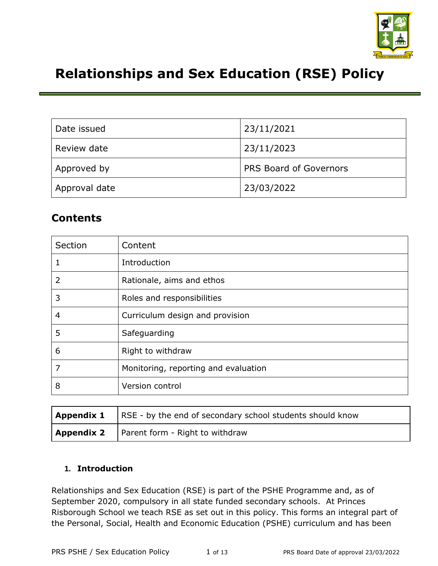

# **Relationships and Sex Education (RSE) Policy**

| Date issued   | 23/11/2021                    |
|---------------|-------------------------------|
| Review date   | 23/11/2023                    |
| Approved by   | <b>PRS Board of Governors</b> |
| Approval date | 23/03/2022                    |

# **Contents**

| Section | Content                              |
|---------|--------------------------------------|
| 1       | Introduction                         |
| 2       | Rationale, aims and ethos            |
| 3       | Roles and responsibilities           |
| 4       | Curriculum design and provision      |
| 5       | Safeguarding                         |
| 6       | Right to withdraw                    |
| 7       | Monitoring, reporting and evaluation |
| 8       | Version control                      |

| <b>Appendix 1</b> RSE - by the end of secondary school students should know |  |
|-----------------------------------------------------------------------------|--|
| <b>Appendix 2</b>   Parent form - Right to withdraw                         |  |

## **1. Introduction**

Relationships and Sex Education (RSE) is part of the PSHE Programme and, as of September 2020, compulsory in all state funded secondary schools. At Princes Risborough School we teach RSE as set out in this policy. This forms an integral part of the Personal, Social, Health and Economic Education (PSHE) curriculum and has been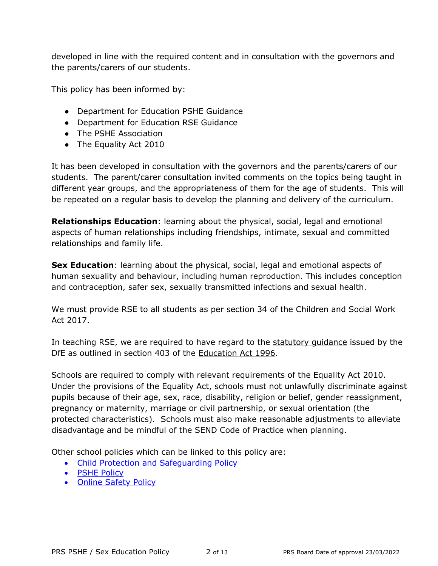developed in line with the required content and in consultation with the governors and the parents/carers of our students.

This policy has been informed by:

- Department for Education PSHE Guidance
- Department for Education RSE Guidance
- The PSHE Association
- The Equality Act 2010

It has been developed in consultation with the governors and the parents/carers of our students. The parent/carer consultation invited comments on the topics being taught in different year groups, and the appropriateness of them for the age of students. This will be repeated on a regular basis to develop the planning and delivery of the curriculum.

**Relationships Education**: learning about the physical, social, legal and emotional aspects of human relationships including friendships, intimate, sexual and committed relationships and family life.

**Sex Education**: learning about the physical, social, legal and emotional aspects of human sexuality and behaviour, including human reproduction. This includes conception and contraception, safer sex, sexually transmitted infections and sexual health.

We must provide RSE to all students as per section 34 of the [Children and Social Work](https://www.legislation.gov.uk/ukpga/2017/16/section/34/enacted)  [Act 2017.](https://www.legislation.gov.uk/ukpga/2017/16/section/34/enacted)

In teaching RSE, we are required to have regard to the [statutory guidance](https://www.gov.uk/government/publications/relationships-education-relationships-and-sex-education-rse-and-health-education) issued by the DfE as outlined in section 403 of the [Education Act 1996.](https://www.legislation.gov.uk/ukpga/1996/56/contents)

Schools are required to comply with relevant requirements of the [Equality Act 2010.](https://www.legislation.gov.uk/ukpga/2010/15/contents) Under the provisions of the Equality Act, schools must not unlawfully discriminate against pupils because of their age, sex, race, disability, religion or belief, gender reassignment, pregnancy or maternity, marriage or civil partnership, or sexual orientation (the protected characteristics). Schools must also make reasonable adjustments to alleviate disadvantage and be mindful of the SEND Code of Practice when planning.

Other school policies which can be linked to this policy are:

- [Child Protection and Safeguarding Policy](https://www.princesrisborough.bucks.sch.uk/docs/policies/safeguarding_and_esafety/Child_Protection_and_Safeguarding_Policy__1_.pdf)
- [PSHE Policy](https://www.princesrisborough.bucks.sch.uk/docs/policies/teaching___learning/PSHE_policy_PRS_-_DRAFT.pdf)
- [Online Safety Policy](https://www.princesrisborough.bucks.sch.uk/docs/policies/safeguarding_and_esafety/Online_Safety_Policy.pdf)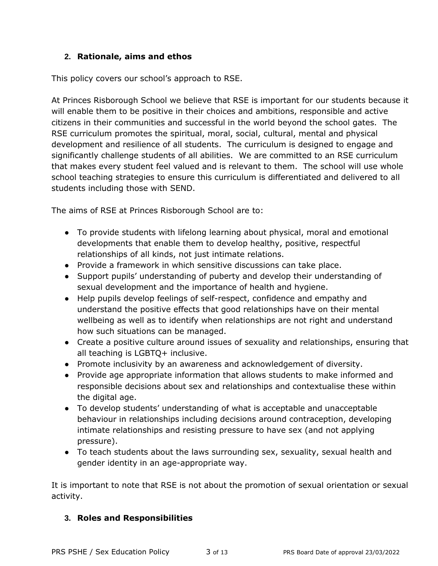## **2. Rationale, aims and ethos**

This policy covers our school's approach to RSE.

At Princes Risborough School we believe that RSE is important for our students because it will enable them to be positive in their choices and ambitions, responsible and active citizens in their communities and successful in the world beyond the school gates. The RSE curriculum promotes the spiritual, moral, social, cultural, mental and physical development and resilience of all students. The curriculum is designed to engage and significantly challenge students of all abilities. We are committed to an RSE curriculum that makes every student feel valued and is relevant to them. The school will use whole school teaching strategies to ensure this curriculum is differentiated and delivered to all students including those with SEND.

The aims of RSE at Princes Risborough School are to:

- To provide students with lifelong learning about physical, moral and emotional developments that enable them to develop healthy, positive, respectful relationships of all kinds, not just intimate relations.
- Provide a framework in which sensitive discussions can take place.
- Support pupils' understanding of puberty and develop their understanding of sexual development and the importance of health and hygiene.
- Help pupils develop feelings of self-respect, confidence and empathy and understand the positive effects that good relationships have on their mental wellbeing as well as to identify when relationships are not right and understand how such situations can be managed.
- Create a positive culture around issues of sexuality and relationships, ensuring that all teaching is LGBTQ+ inclusive.
- Promote inclusivity by an awareness and acknowledgement of diversity.
- Provide age appropriate information that allows students to make informed and responsible decisions about sex and relationships and contextualise these within the digital age.
- To develop students' understanding of what is acceptable and unacceptable behaviour in relationships including decisions around contraception, developing intimate relationships and resisting pressure to have sex (and not applying pressure).
- To teach students about the laws surrounding sex, sexuality, sexual health and gender identity in an age-appropriate way.

It is important to note that RSE is not about the promotion of sexual orientation or sexual activity.

## **3. Roles and Responsibilities**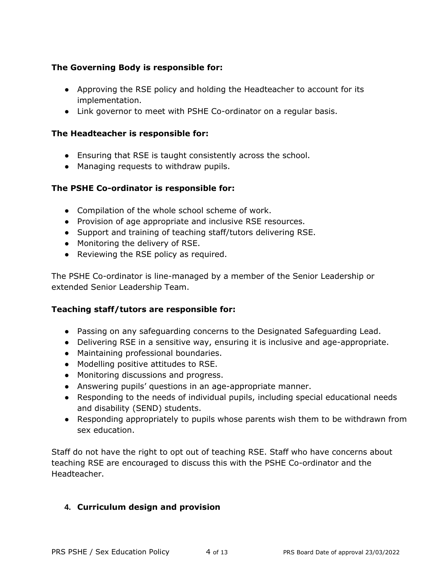## **The Governing Body is responsible for:**

- Approving the RSE policy and holding the Headteacher to account for its implementation.
- Link governor to meet with PSHE Co-ordinator on a regular basis.

## **The Headteacher is responsible for:**

- Ensuring that RSE is taught consistently across the school.
- Managing requests to withdraw pupils.

## **The PSHE Co-ordinator is responsible for:**

- Compilation of the whole school scheme of work.
- Provision of age appropriate and inclusive RSE resources.
- Support and training of teaching staff/tutors delivering RSE.
- Monitoring the delivery of RSE.
- Reviewing the RSE policy as required.

The PSHE Co-ordinator is line-managed by a member of the Senior Leadership or extended Senior Leadership Team.

## **Teaching staff/tutors are responsible for:**

- Passing on any safeguarding concerns to the Designated Safeguarding Lead.
- Delivering RSE in a sensitive way, ensuring it is inclusive and age-appropriate.
- Maintaining professional boundaries.
- Modelling positive attitudes to RSE.
- Monitoring discussions and progress.
- Answering pupils' questions in an age-appropriate manner.
- Responding to the needs of individual pupils, including special educational needs and disability (SEND) students.
- Responding appropriately to pupils whose parents wish them to be withdrawn from sex education.

Staff do not have the right to opt out of teaching RSE. Staff who have concerns about teaching RSE are encouraged to discuss this with the PSHE Co-ordinator and the Headteacher.

## **4. Curriculum design and provision**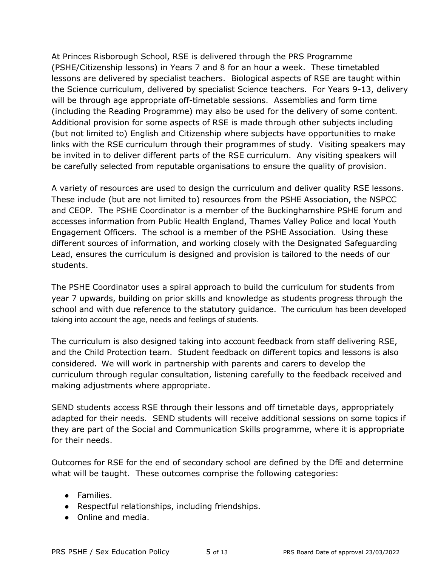At Princes Risborough School, RSE is delivered through the PRS Programme (PSHE/Citizenship lessons) in Years 7 and 8 for an hour a week. These timetabled lessons are delivered by specialist teachers. Biological aspects of RSE are taught within the Science curriculum, delivered by specialist Science teachers. For Years 9-13, delivery will be through age appropriate off-timetable sessions. Assemblies and form time (including the Reading Programme) may also be used for the delivery of some content. Additional provision for some aspects of RSE is made through other subjects including (but not limited to) English and Citizenship where subjects have opportunities to make links with the RSE curriculum through their programmes of study. Visiting speakers may be invited in to deliver different parts of the RSE curriculum. Any visiting speakers will be carefully selected from reputable organisations to ensure the quality of provision.

A variety of resources are used to design the curriculum and deliver quality RSE lessons. These include (but are not limited to) resources from the PSHE Association, the NSPCC and CEOP. The PSHE Coordinator is a member of the Buckinghamshire PSHE forum and accesses information from Public Health England, Thames Valley Police and local Youth Engagement Officers. The school is a member of the PSHE Association. Using these different sources of information, and working closely with the Designated Safeguarding Lead, ensures the curriculum is designed and provision is tailored to the needs of our students.

The PSHE Coordinator uses a spiral approach to build the curriculum for students from year 7 upwards, building on prior skills and knowledge as students progress through the school and with due reference to the statutory guidance. The curriculum has been developed taking into account the age, needs and feelings of students.

The curriculum is also designed taking into account feedback from staff delivering RSE, and the Child Protection team. Student feedback on different topics and lessons is also considered. We will work in partnership with parents and carers to develop the curriculum through regular consultation, listening carefully to the feedback received and making adjustments where appropriate.

SEND students access RSE through their lessons and off timetable days, appropriately adapted for their needs. SEND students will receive additional sessions on some topics if they are part of the Social and Communication Skills programme, where it is appropriate for their needs.

Outcomes for RSE for the end of secondary school are defined by the DfE and determine what will be taught. These outcomes comprise the following categories:

- Families.
- Respectful relationships, including friendships.
- Online and media.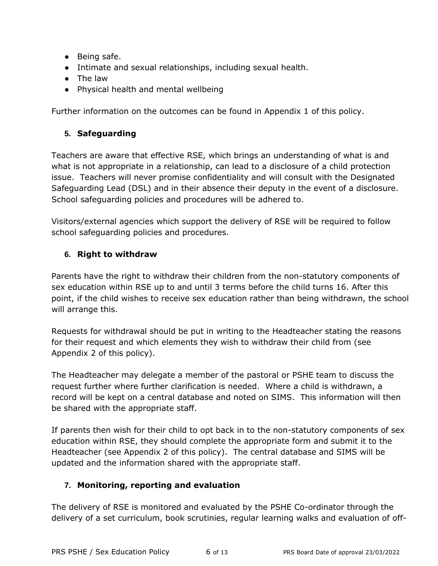- Being safe.
- Intimate and sexual relationships, including sexual health.
- The law
- Physical health and mental wellbeing

Further information on the outcomes can be found in Appendix 1 of this policy.

## **5. Safeguarding**

Teachers are aware that effective RSE, which brings an understanding of what is and what is not appropriate in a relationship, can lead to a disclosure of a child protection issue. Teachers will never promise confidentiality and will consult with the Designated Safeguarding Lead (DSL) and in their absence their deputy in the event of a disclosure. School safeguarding policies and procedures will be adhered to.

Visitors/external agencies which support the delivery of RSE will be required to follow school safeguarding policies and procedures.

## **6. Right to withdraw**

Parents have the right to withdraw their children from the non-statutory components of sex education within RSE up to and until 3 terms before the child turns 16. After this point, if the child wishes to receive sex education rather than being withdrawn, the school will arrange this.

Requests for withdrawal should be put in writing to the Headteacher stating the reasons for their request and which elements they wish to withdraw their child from (see Appendix 2 of this policy).

The Headteacher may delegate a member of the pastoral or PSHE team to discuss the request further where further clarification is needed. Where a child is withdrawn, a record will be kept on a central database and noted on SIMS. This information will then be shared with the appropriate staff.

If parents then wish for their child to opt back in to the non-statutory components of sex education within RSE, they should complete the appropriate form and submit it to the Headteacher (see Appendix 2 of this policy). The central database and SIMS will be updated and the information shared with the appropriate staff.

## **7. Monitoring, reporting and evaluation**

The delivery of RSE is monitored and evaluated by the PSHE Co-ordinator through the delivery of a set curriculum, book scrutinies, regular learning walks and evaluation of off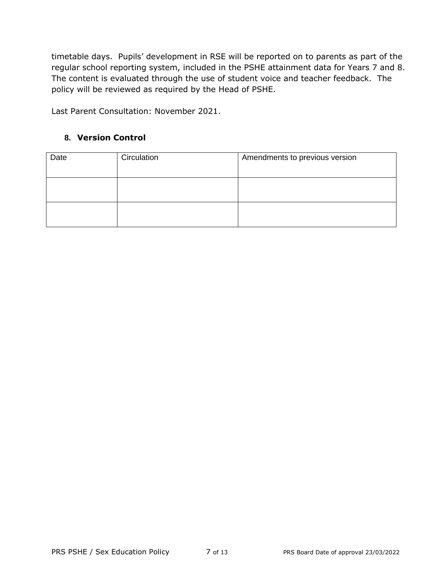timetable days. Pupils' development in RSE will be reported on to parents as part of the regular school reporting system, included in the PSHE attainment data for Years 7 and 8. The content is evaluated through the use of student voice and teacher feedback. The policy will be reviewed as required by the Head of PSHE.

Last Parent Consultation: November 2021.

#### **8. Version Control**

| Date | Circulation | Amendments to previous version |
|------|-------------|--------------------------------|
|      |             |                                |
|      |             |                                |
|      |             |                                |
|      |             |                                |
|      |             |                                |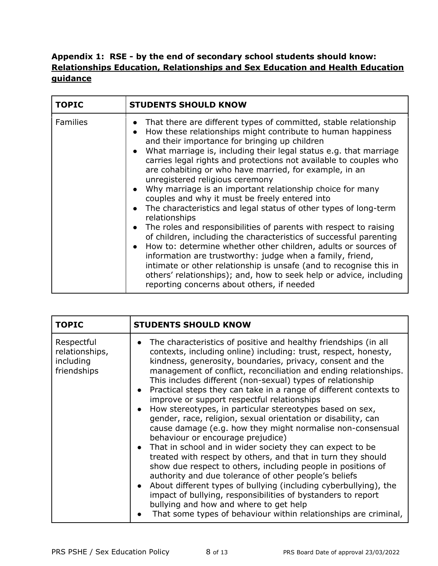## **Appendix 1: RSE - by the end of secondary school students should know: [Relationships Education, Relationships and Sex Education and Health Education](https://assets.publishing.service.gov.uk/government/uploads/system/uploads/attachment_data/file/1019542/Relationships_Education__Relationships_and_Sex_Education__RSE__and_Health_Education.pdf)  [guidance](https://assets.publishing.service.gov.uk/government/uploads/system/uploads/attachment_data/file/1019542/Relationships_Education__Relationships_and_Sex_Education__RSE__and_Health_Education.pdf)**

| <b>TOPIC</b>    | <b>STUDENTS SHOULD KNOW</b>                                                                                                                                                                                                                                                                                                                                                                                                                                                                                                                                                                                                                                                                                                                                                                                                                                                                                                                                                                                                                                                                                                                               |
|-----------------|-----------------------------------------------------------------------------------------------------------------------------------------------------------------------------------------------------------------------------------------------------------------------------------------------------------------------------------------------------------------------------------------------------------------------------------------------------------------------------------------------------------------------------------------------------------------------------------------------------------------------------------------------------------------------------------------------------------------------------------------------------------------------------------------------------------------------------------------------------------------------------------------------------------------------------------------------------------------------------------------------------------------------------------------------------------------------------------------------------------------------------------------------------------|
| <b>Families</b> | That there are different types of committed, stable relationship<br>$\bullet$<br>How these relationships might contribute to human happiness<br>$\bullet$<br>and their importance for bringing up children<br>• What marriage is, including their legal status e.g. that marriage<br>carries legal rights and protections not available to couples who<br>are cohabiting or who have married, for example, in an<br>unregistered religious ceremony<br>• Why marriage is an important relationship choice for many<br>couples and why it must be freely entered into<br>The characteristics and legal status of other types of long-term<br>$\bullet$<br>relationships<br>The roles and responsibilities of parents with respect to raising<br>$\bullet$<br>of children, including the characteristics of successful parenting<br>• How to: determine whether other children, adults or sources of<br>information are trustworthy: judge when a family, friend,<br>intimate or other relationship is unsafe (and to recognise this in<br>others' relationships); and, how to seek help or advice, including<br>reporting concerns about others, if needed |

| <b>TOPIC</b>                                             | <b>STUDENTS SHOULD KNOW</b>                                                                                                                                                                                                                                                                                                                                                                                                                                                                                                                                                                                                                                                                                                                                                                                                                                                                                                                                                                                                                                                                                                                                                                                                                         |
|----------------------------------------------------------|-----------------------------------------------------------------------------------------------------------------------------------------------------------------------------------------------------------------------------------------------------------------------------------------------------------------------------------------------------------------------------------------------------------------------------------------------------------------------------------------------------------------------------------------------------------------------------------------------------------------------------------------------------------------------------------------------------------------------------------------------------------------------------------------------------------------------------------------------------------------------------------------------------------------------------------------------------------------------------------------------------------------------------------------------------------------------------------------------------------------------------------------------------------------------------------------------------------------------------------------------------|
| Respectful<br>relationships,<br>including<br>friendships | The characteristics of positive and healthy friendships (in all<br>$\bullet$<br>contexts, including online) including: trust, respect, honesty,<br>kindness, generosity, boundaries, privacy, consent and the<br>management of conflict, reconciliation and ending relationships.<br>This includes different (non-sexual) types of relationship<br>Practical steps they can take in a range of different contexts to<br>$\bullet$<br>improve or support respectful relationships<br>How stereotypes, in particular stereotypes based on sex,<br>$\bullet$<br>gender, race, religion, sexual orientation or disability, can<br>cause damage (e.g. how they might normalise non-consensual<br>behaviour or encourage prejudice)<br>• That in school and in wider society they can expect to be<br>treated with respect by others, and that in turn they should<br>show due respect to others, including people in positions of<br>authority and due tolerance of other people's beliefs<br>About different types of bullying (including cyberbullying), the<br>$\bullet$<br>impact of bullying, responsibilities of bystanders to report<br>bullying and how and where to get help<br>That some types of behaviour within relationships are criminal, |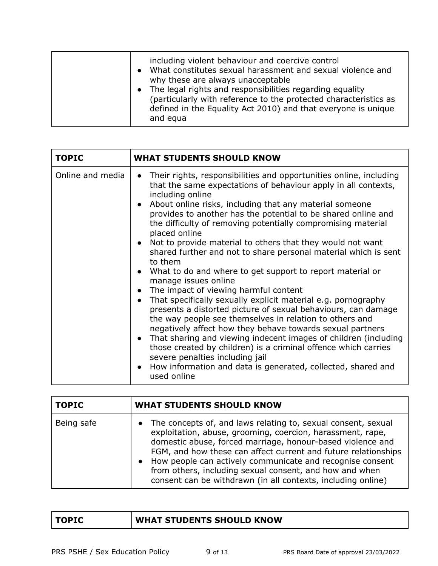|  | including violent behaviour and coercive control<br>What constitutes sexual harassment and sexual violence and<br>why these are always unacceptable<br>The legal rights and responsibilities regarding equality<br>(particularly with reference to the protected characteristics as<br>defined in the Equality Act 2010) and that everyone is unique<br>and equa |
|--|------------------------------------------------------------------------------------------------------------------------------------------------------------------------------------------------------------------------------------------------------------------------------------------------------------------------------------------------------------------|
|--|------------------------------------------------------------------------------------------------------------------------------------------------------------------------------------------------------------------------------------------------------------------------------------------------------------------------------------------------------------------|

| <b>TOPIC</b>     | <b>WHAT STUDENTS SHOULD KNOW</b>                                                                                                                                                                                                                                                                                                                                                                                                                                                                                                                                                                                                                                                                                                                                                                                                                                                                                                                                                                                                                                                                                                                                                                                                                                         |
|------------------|--------------------------------------------------------------------------------------------------------------------------------------------------------------------------------------------------------------------------------------------------------------------------------------------------------------------------------------------------------------------------------------------------------------------------------------------------------------------------------------------------------------------------------------------------------------------------------------------------------------------------------------------------------------------------------------------------------------------------------------------------------------------------------------------------------------------------------------------------------------------------------------------------------------------------------------------------------------------------------------------------------------------------------------------------------------------------------------------------------------------------------------------------------------------------------------------------------------------------------------------------------------------------|
| Online and media | Their rights, responsibilities and opportunities online, including<br>$\bullet$<br>that the same expectations of behaviour apply in all contexts,<br>including online<br>About online risks, including that any material someone<br>$\bullet$<br>provides to another has the potential to be shared online and<br>the difficulty of removing potentially compromising material<br>placed online<br>Not to provide material to others that they would not want<br>$\bullet$<br>shared further and not to share personal material which is sent<br>to them<br>What to do and where to get support to report material or<br>$\bullet$<br>manage issues online<br>The impact of viewing harmful content<br>$\bullet$<br>That specifically sexually explicit material e.g. pornography<br>$\bullet$<br>presents a distorted picture of sexual behaviours, can damage<br>the way people see themselves in relation to others and<br>negatively affect how they behave towards sexual partners<br>That sharing and viewing indecent images of children (including<br>$\bullet$<br>those created by children) is a criminal offence which carries<br>severe penalties including jail<br>How information and data is generated, collected, shared and<br>$\bullet$<br>used online |

| <b>TOPIC</b> | <b>WHAT STUDENTS SHOULD KNOW</b>                                                                                                                                                                                                                                                                                                                                                                                                                                   |
|--------------|--------------------------------------------------------------------------------------------------------------------------------------------------------------------------------------------------------------------------------------------------------------------------------------------------------------------------------------------------------------------------------------------------------------------------------------------------------------------|
| Being safe   | • The concepts of, and laws relating to, sexual consent, sexual<br>exploitation, abuse, grooming, coercion, harassment, rape,<br>domestic abuse, forced marriage, honour-based violence and<br>FGM, and how these can affect current and future relationships<br>How people can actively communicate and recognise consent<br>$\bullet$<br>from others, including sexual consent, and how and when<br>consent can be withdrawn (in all contexts, including online) |

| <b>TOPIC</b> | <b>WHAT STUDENTS SHOULD KNOW</b> |
|--------------|----------------------------------|
|--------------|----------------------------------|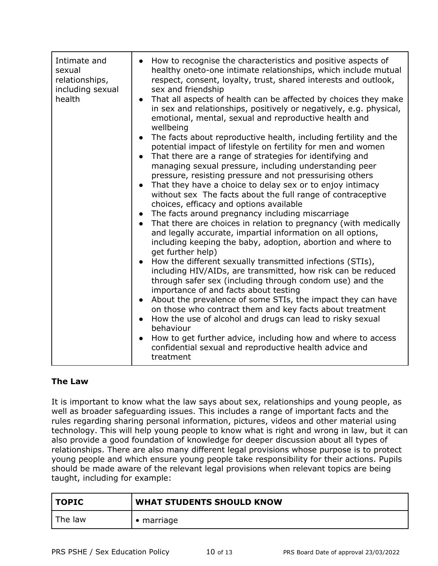| Intimate and<br>sexual<br>relationships,<br>including sexual<br>health | • How to recognise the characteristics and positive aspects of<br>healthy oneto-one intimate relationships, which include mutual<br>respect, consent, loyalty, trust, shared interests and outlook,<br>sex and friendship<br>• That all aspects of health can be affected by choices they make<br>in sex and relationships, positively or negatively, e.g. physical,<br>emotional, mental, sexual and reproductive health and<br>wellbeing<br>The facts about reproductive health, including fertility and the<br>potential impact of lifestyle on fertility for men and women<br>That there are a range of strategies for identifying and<br>managing sexual pressure, including understanding peer<br>pressure, resisting pressure and not pressurising others<br>That they have a choice to delay sex or to enjoy intimacy<br>without sex The facts about the full range of contraceptive<br>choices, efficacy and options available<br>• The facts around pregnancy including miscarriage<br>• That there are choices in relation to pregnancy (with medically<br>and legally accurate, impartial information on all options,<br>including keeping the baby, adoption, abortion and where to<br>get further help)<br>• How the different sexually transmitted infections (STIs),<br>including HIV/AIDs, are transmitted, how risk can be reduced<br>through safer sex (including through condom use) and the<br>importance of and facts about testing<br>About the prevalence of some STIs, the impact they can have<br>on those who contract them and key facts about treatment<br>How the use of alcohol and drugs can lead to risky sexual<br>$\bullet$<br>behaviour |
|------------------------------------------------------------------------|-----------------------------------------------------------------------------------------------------------------------------------------------------------------------------------------------------------------------------------------------------------------------------------------------------------------------------------------------------------------------------------------------------------------------------------------------------------------------------------------------------------------------------------------------------------------------------------------------------------------------------------------------------------------------------------------------------------------------------------------------------------------------------------------------------------------------------------------------------------------------------------------------------------------------------------------------------------------------------------------------------------------------------------------------------------------------------------------------------------------------------------------------------------------------------------------------------------------------------------------------------------------------------------------------------------------------------------------------------------------------------------------------------------------------------------------------------------------------------------------------------------------------------------------------------------------------------------------------------------------------------------------------------------------------------|
|                                                                        | How to get further advice, including how and where to access<br>confidential sexual and reproductive health advice and<br>treatment                                                                                                                                                                                                                                                                                                                                                                                                                                                                                                                                                                                                                                                                                                                                                                                                                                                                                                                                                                                                                                                                                                                                                                                                                                                                                                                                                                                                                                                                                                                                         |

#### **The Law**

It is important to know what the law says about sex, relationships and young people, as well as broader safeguarding issues. This includes a range of important facts and the rules regarding sharing personal information, pictures, videos and other material using technology. This will help young people to know what is right and wrong in law, but it can also provide a good foundation of knowledge for deeper discussion about all types of relationships. There are also many different legal provisions whose purpose is to protect young people and which ensure young people take responsibility for their actions. Pupils should be made aware of the relevant legal provisions when relevant topics are being taught, including for example:

| TOPIC   | <b>WHAT STUDENTS SHOULD KNOW</b> |
|---------|----------------------------------|
| The law | $\bullet$ marriage               |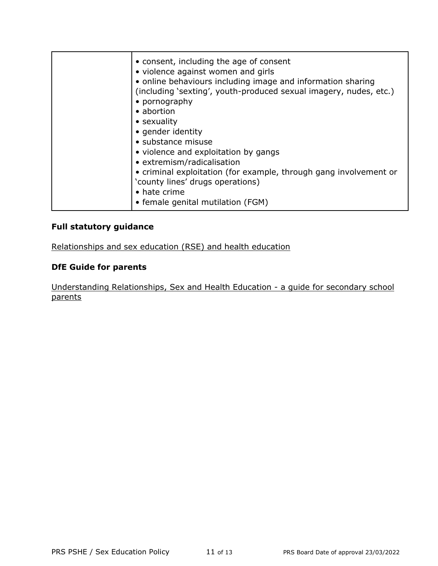|  | • consent, including the age of consent<br>• violence against women and girls<br>• online behaviours including image and information sharing<br>(including 'sexting', youth-produced sexual imagery, nudes, etc.)<br>• pornography<br>• abortion<br>• sexuality<br>• gender identity<br>· substance misuse<br>• violence and exploitation by gangs<br>• extremism/radicalisation<br>• criminal exploitation (for example, through gang involvement or<br>'county lines' drugs operations)<br>• hate crime<br>• female genital mutilation (FGM) |
|--|------------------------------------------------------------------------------------------------------------------------------------------------------------------------------------------------------------------------------------------------------------------------------------------------------------------------------------------------------------------------------------------------------------------------------------------------------------------------------------------------------------------------------------------------|
|--|------------------------------------------------------------------------------------------------------------------------------------------------------------------------------------------------------------------------------------------------------------------------------------------------------------------------------------------------------------------------------------------------------------------------------------------------------------------------------------------------------------------------------------------------|

# **Full statutory guidance**

[Relationships and sex education \(RSE\) and health education](https://www.gov.uk/government/publications/relationships-education-relationships-and-sex-education-rse-and-health-education)

#### **DfE Guide for parents**

[Understanding Relationships, Sex and Health Education -](https://assets.publishing.service.gov.uk/government/uploads/system/uploads/attachment_data/file/812594/RSE_secondary_schools_guide_for_parents.pdf) a guide for secondary school [parents](https://assets.publishing.service.gov.uk/government/uploads/system/uploads/attachment_data/file/812594/RSE_secondary_schools_guide_for_parents.pdf)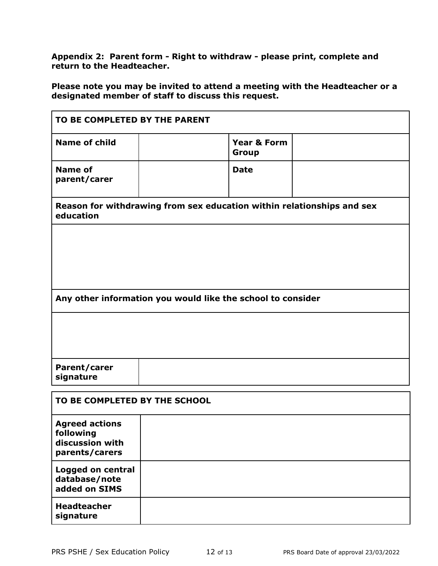**Appendix 2: Parent form - Right to withdraw - please print, complete and return to the Headteacher.** 

**Please note you may be invited to attend a meeting with the Headteacher or a designated member of staff to discuss this request.**

| TO BE COMPLETED BY THE PARENT                                                       |                                 |  |  |  |  |
|-------------------------------------------------------------------------------------|---------------------------------|--|--|--|--|
| <b>Name of child</b>                                                                | <b>Year &amp; Form</b><br>Group |  |  |  |  |
| <b>Name of</b><br>parent/carer                                                      | <b>Date</b>                     |  |  |  |  |
| Reason for withdrawing from sex education within relationships and sex<br>education |                                 |  |  |  |  |
|                                                                                     |                                 |  |  |  |  |
|                                                                                     |                                 |  |  |  |  |
| Any other information you would like the school to consider                         |                                 |  |  |  |  |
|                                                                                     |                                 |  |  |  |  |
| Parent/carer<br>signature                                                           |                                 |  |  |  |  |
| TO BE COMPLETED BY THE SCHOOL                                                       |                                 |  |  |  |  |
| <b>Agreed actions</b><br>following<br>discussion with<br>parents/carers             |                                 |  |  |  |  |
| Logged on central<br>database/note<br>added on SIMS                                 |                                 |  |  |  |  |
| <b>Headteacher</b><br>signature                                                     |                                 |  |  |  |  |